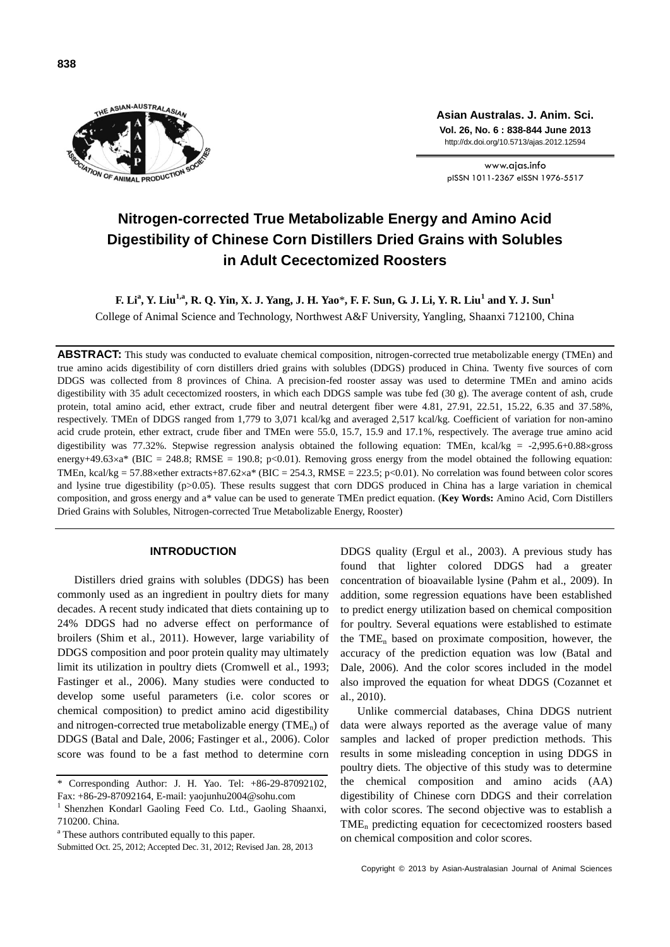

**Asian Australas. J. Anim. Sci. Vol. 26, No. 6 : 838-844 June 2013** http://dx.doi.org/10.5713/ajas.2012.12594

www.ajas.info pISSN 1011-2367 eISSN 1976-5517

# **Nitrogen-corrected True Metabolizable Energy and Amino Acid Digestibility of Chinese Corn Distillers Dried Grains with Solubles in Adult Cecectomized Roosters**

**F. Li<sup>a</sup> , Y. Liu1,a , R. Q. Yin, X. J. Yang, J. H. Yao**\***, F. F. Sun, G. J. Li, Y. R. Liu<sup>1</sup> and Y. J. Sun<sup>1</sup>** College of Animal Science and Technology, Northwest A&F University, Yangling, Shaanxi 712100, China

**ABSTRACT:** This study was conducted to evaluate chemical composition, nitrogen-corrected true metabolizable energy (TMEn) and true amino acids digestibility of corn distillers dried grains with solubles (DDGS) produced in China. Twenty five sources of corn DDGS was collected from 8 provinces of China. A precision-fed rooster assay was used to determine TMEn and amino acids digestibility with 35 adult cecectomized roosters, in which each DDGS sample was tube fed (30 g). The average content of ash, crude protein, total amino acid, ether extract, crude fiber and neutral detergent fiber were 4.81, 27.91, 22.51, 15.22, 6.35 and 37.58%, respectively. TMEn of DDGS ranged from 1,779 to 3,071 kcal/kg and averaged 2,517 kcal/kg. Coefficient of variation for non-amino acid crude protein, ether extract, crude fiber and TMEn were 55.0, 15.7, 15.9 and 17.1%, respectively. The average true amino acid digestibility was 77.32%. Stepwise regression analysis obtained the following equation: TMEn, kcal/kg = -2,995.6+0.88×gross energy+49.63×a\* (BIC = 248.8; RMSE = 190.8; p<0.01). Removing gross energy from the model obtained the following equation: TMEn, kcal/kg = 57.88 xether extracts+87.62×a\* (BIC = 254.3, RMSE = 223.5; p<0.01). No correlation was found between color scores and lysine true digestibility (p>0.05). These results suggest that corn DDGS produced in China has a large variation in chemical composition, and gross energy and a\* value can be used to generate TMEn predict equation. (**Key Words:** Amino Acid, Corn Distillers Dried Grains with Solubles, Nitrogen-corrected True Metabolizable Energy, Rooster)

# **INTRODUCTION**

Distillers dried grains with solubles (DDGS) has been commonly used as an ingredient in poultry diets for many decades. A recent study indicated that diets containing up to 24% DDGS had no adverse effect on performance of broilers (Shim et al., 2011). However, large variability of DDGS composition and poor protein quality may ultimately limit its utilization in poultry diets (Cromwell et al., 1993; Fastinger et al., 2006). Many studies were conducted to develop some useful parameters (i.e. color scores or chemical composition) to predict amino acid digestibility and nitrogen-corrected true metabolizable energy  $(TME_n)$  of DDGS (Batal and Dale, 2006; Fastinger et al., 2006). Color score was found to be a fast method to determine corn DDGS quality (Ergul et al., 2003). A previous study has found that lighter colored DDGS had a greater concentration of bioavailable lysine (Pahm et al., 2009). In addition, some regression equations have been established to predict energy utilization based on chemical composition for poultry. Several equations were established to estimate the  $\text{TME}_{n}$  based on proximate composition, however, the accuracy of the prediction equation was low (Batal and Dale, 2006). And the color scores included in the model also improved the equation for wheat DDGS (Cozannet et al., 2010).

Unlike commercial databases, China DDGS nutrient data were always reported as the average value of many samples and lacked of proper prediction methods. This results in some misleading conception in using DDGS in poultry diets. The objective of this study was to determine the chemical composition and amino acids (AA) digestibility of Chinese corn DDGS and their correlation with color scores. The second objective was to establish a TME<sup>n</sup> predicting equation for cecectomized roosters based on chemical composition and color scores.

Corresponding Author: J. H. Yao. Tel: +86-29-87092102, Fax: +86-29-87092164, E-mail: yaojunhu2004@sohu.com

<sup>&</sup>lt;sup>1</sup> Shenzhen Kondarl Gaoling Feed Co. Ltd., Gaoling Shaanxi, 710200. China.

<sup>&</sup>lt;sup>a</sup> These authors contributed equally to this paper.

Submitted Oct. 25, 2012; Accepted Dec. 31, 2012; Revised Jan. 28, 2013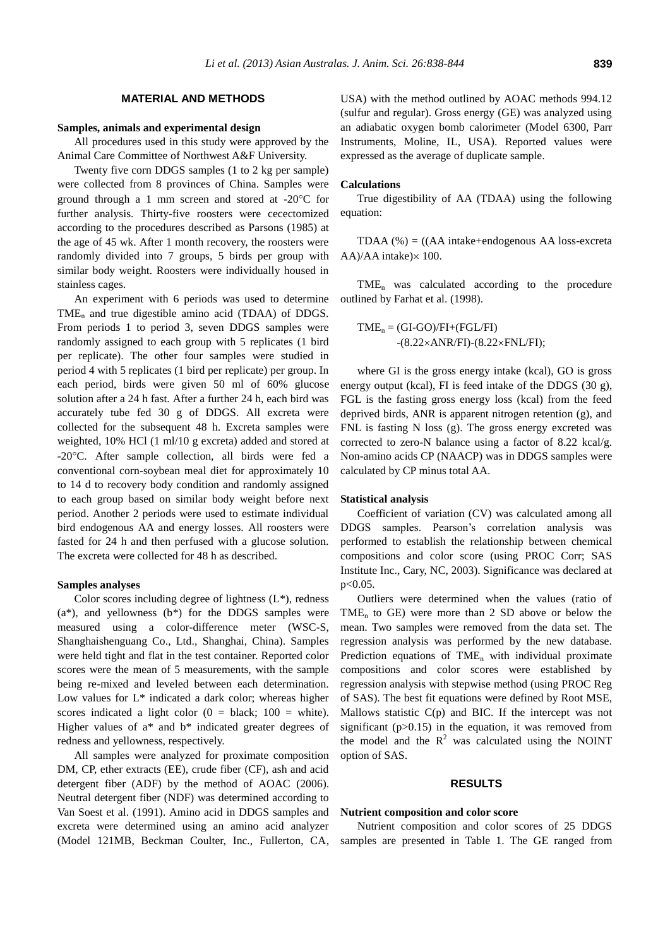## **MATERIAL AND METHODS**

#### **Samples, animals and experimental design**

All procedures used in this study were approved by the Animal Care Committee of Northwest A&F University.

Twenty five corn DDGS samples (1 to 2 kg per sample) were collected from 8 provinces of China. Samples were ground through a 1 mm screen and stored at  $-20^{\circ}$ C for further analysis. Thirty-five roosters were cecectomized according to the procedures described as Parsons (1985) at the age of 45 wk. After 1 month recovery, the roosters were randomly divided into 7 groups, 5 birds per group with similar body weight. Roosters were individually housed in stainless cages.

An experiment with 6 periods was used to determine  $TME_n$  and true digestible amino acid (TDAA) of DDGS. From periods 1 to period 3, seven DDGS samples were randomly assigned to each group with 5 replicates (1 bird per replicate). The other four samples were studied in period 4 with 5 replicates (1 bird per replicate) per group. In each period, birds were given 50 ml of 60% glucose solution after a 24 h fast. After a further 24 h, each bird was accurately tube fed 30 g of DDGS. All excreta were collected for the subsequent 48 h. Excreta samples were weighted, 10% HCl (1 ml/10 g excreta) added and stored at -20C. After sample collection, all birds were fed a conventional corn-soybean meal diet for approximately 10 to 14 d to recovery body condition and randomly assigned to each group based on similar body weight before next period. Another 2 periods were used to estimate individual bird endogenous AA and energy losses. All roosters were fasted for 24 h and then perfused with a glucose solution. The excreta were collected for 48 h as described.

#### **Samples analyses**

Color scores including degree of lightness  $(L^*)$ , redness  $(a^*)$ , and yellowness  $(b^*)$  for the DDGS samples were measured using a color-difference meter (WSC-S, Shanghaishenguang Co., Ltd., Shanghai, China). Samples were held tight and flat in the test container. Reported color scores were the mean of 5 measurements, with the sample being re-mixed and leveled between each determination. Low values for L\* indicated a dark color; whereas higher scores indicated a light color  $(0 = black; 100 = white)$ . Higher values of a\* and b\* indicated greater degrees of redness and yellowness, respectively.

All samples were analyzed for proximate composition DM, CP, ether extracts (EE), crude fiber (CF), ash and acid detergent fiber (ADF) by the method of AOAC (2006). Neutral detergent fiber (NDF) was determined according to Van Soest et al. (1991). Amino acid in DDGS samples and excreta were determined using an amino acid analyzer (Model 121MB, Beckman Coulter, Inc., Fullerton, CA, USA) with the method outlined by AOAC methods 994.12 (sulfur and regular). Gross energy (GE) was analyzed using an adiabatic oxygen bomb calorimeter (Model 6300, Parr Instruments, Moline, IL, USA). Reported values were expressed as the average of duplicate sample.

#### **Calculations**

True digestibility of AA (TDAA) using the following equation:

TDAA  $(\%) = ((AA intake + endogenous AA loss - excrete)$ AA)/AA intake) $\times$  100.

TME<sup>n</sup> was calculated according to the procedure outlined by Farhat et al. (1998).

$$
TME_n = (GI-GO)/FI + (FGL/FI)
$$
  
-
$$
(8.22 \times ANR/FI) - (8.22 \times FNL/FI);
$$

where GI is the gross energy intake (kcal), GO is gross energy output (kcal), FI is feed intake of the DDGS (30 g), FGL is the fasting gross energy loss (kcal) from the feed deprived birds, ANR is apparent nitrogen retention (g), and FNL is fasting N loss (g). The gross energy excreted was corrected to zero-N balance using a factor of 8.22 kcal/g. Non-amino acids CP (NAACP) was in DDGS samples were calculated by CP minus total AA.

## **Statistical analysis**

Coefficient of variation (CV) was calculated among all DDGS samples. Pearson's correlation analysis was performed to establish the relationship between chemical compositions and color score (using PROC Corr; SAS Institute Inc., Cary, NC, 2003). Significance was declared at p<0.05.

Outliers were determined when the values (ratio of TME<sub>n</sub> to GE) were more than 2 SD above or below the mean. Two samples were removed from the data set. The regression analysis was performed by the new database. Prediction equations of  $\text{TME}_{n}$  with individual proximate compositions and color scores were established by regression analysis with stepwise method (using PROC Reg of SAS). The best fit equations were defined by Root MSE, Mallows statistic  $C(p)$  and BIC. If the intercept was not significant  $(p>0.15)$  in the equation, it was removed from the model and the  $R^2$  was calculated using the NOINT option of SAS.

# **RESULTS**

#### **Nutrient composition and color score**

Nutrient composition and color scores of 25 DDGS samples are presented in Table 1. The GE ranged from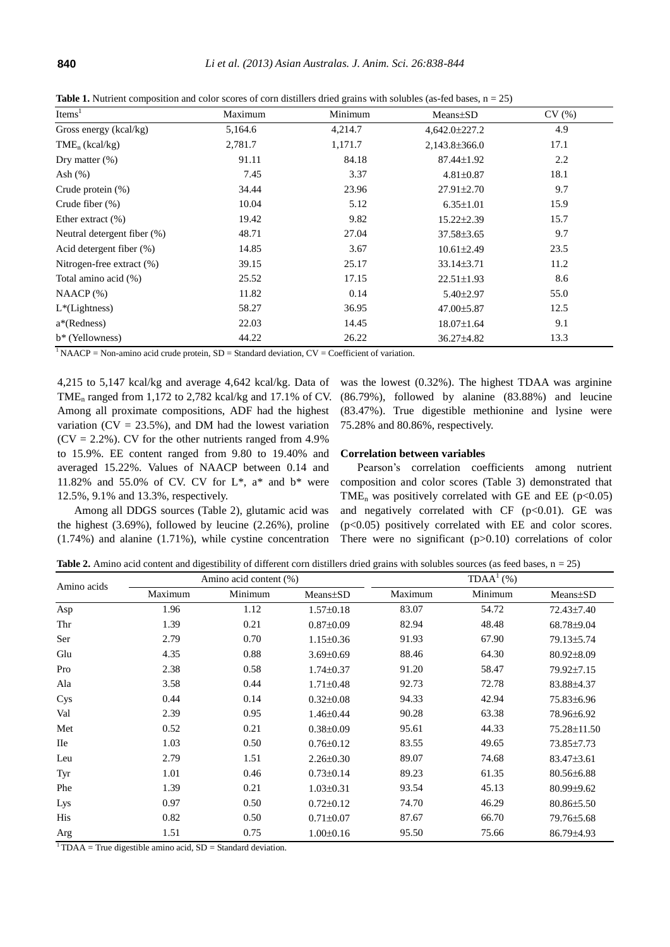| Items <sup>1</sup>         | Maximum | Minimum | Means+SD            | CV (%) |
|----------------------------|---------|---------|---------------------|--------|
| Gross energy (kcal/kg)     | 5.164.6 | 4.214.7 | $4.642.0 \pm 227.2$ | 4.9    |
| $\text{TME}_{n}$ (kcal/kg) | 2.781.7 | 1,171.7 | $2,143.8 \pm 366.0$ | 17.1   |

**Table 1.** Nutrient composition and color scores of corn distillers dried grains with solubles (as-fed bases, n = 25)

| Gross energy (kcal/kg)      | 5,164.6 | 4,214.7 | 4,642.0±227.2      | 4.9  |  |
|-----------------------------|---------|---------|--------------------|------|--|
| $\text{TME}_{n}$ (kcal/kg)  | 2,781.7 | 1,171.7 | $2,143.8\pm 366.0$ | 17.1 |  |
| Dry matter $(\%)$           | 91.11   | 84.18   | 87.44±1.92         | 2.2  |  |
| Ash (%)                     | 7.45    | 3.37    | $4.81 \pm 0.87$    | 18.1 |  |
| Crude protein (%)           | 34.44   | 23.96   | $27.91 \pm 2.70$   | 9.7  |  |
| Crude fiber (%)             | 10.04   | 5.12    | $6.35 \pm 1.01$    | 15.9 |  |
| Ether extract (%)           | 19.42   | 9.82    | $15.22 \pm 2.39$   | 15.7 |  |
| Neutral detergent fiber (%) | 48.71   | 27.04   | $37.58 \pm 3.65$   | 9.7  |  |
| Acid detergent fiber (%)    | 14.85   | 3.67    | $10.61 \pm 2.49$   | 23.5 |  |
| Nitrogen-free extract (%)   | 39.15   | 25.17   | $33.14 \pm 3.71$   | 11.2 |  |
| Total amino acid (%)        | 25.52   | 17.15   | $22.51 \pm 1.93$   | 8.6  |  |
| $NAACP$ (%)                 | 11.82   | 0.14    | $5.40 \pm 2.97$    | 55.0 |  |
| $L^*(Lightness)$            | 58.27   | 36.95   | 47.00±5.87         | 12.5 |  |
| a*(Redness)                 | 22.03   | 14.45   | 18.07±1.64         | 9.1  |  |
| b* (Yellowness)             | 44.22   | 26.22   | 36.27±4.82         | 13.3 |  |
|                             |         |         |                    |      |  |

 $1 NAACP = Non-amino acid crude protein, SD = Standard deviation, CV = Coefficient of variation.$ 

4,215 to 5,147 kcal/kg and average 4,642 kcal/kg. Data of TME<sub>n</sub> ranged from 1,172 to 2,782 kcal/kg and 17.1% of CV. Among all proximate compositions, ADF had the highest variation ( $CV = 23.5\%$ ), and DM had the lowest variation  $(CV = 2.2\%)$ . CV for the other nutrients ranged from 4.9% to 15.9%. EE content ranged from 9.80 to 19.40% and averaged 15.22%. Values of NAACP between 0.14 and 11.82% and 55.0% of CV. CV for  $L^*$ ,  $a^*$  and  $b^*$  were 12.5%, 9.1% and 13.3%, respectively.

Among all DDGS sources (Table 2), glutamic acid was the highest (3.69%), followed by leucine (2.26%), proline (1.74%) and alanine (1.71%), while cystine concentration was the lowest (0.32%). The highest TDAA was arginine (86.79%), followed by alanine (83.88%) and leucine (83.47%). True digestible methionine and lysine were 75.28% and 80.86%, respectively.

#### **Correlation between variables**

Pearson's correlation coefficients among nutrient composition and color scores (Table 3) demonstrated that TME<sub>n</sub> was positively correlated with GE and EE ( $p$ <0.05) and negatively correlated with CF ( $p<0.01$ ). GE was (p<0.05) positively correlated with EE and color scores. There were no significant  $(p>0.10)$  correlations of color

Table 2. Amino acid content and digestibility of different corn distillers dried grains with solubles sources (as feed bases, n = 25)

| Amino acids |         | Amino acid content (%) |                 | TDAA <sup>1</sup> (%) |         |                  |  |  |
|-------------|---------|------------------------|-----------------|-----------------------|---------|------------------|--|--|
|             | Maximum | Minimum                | Means±SD        | Maximum               | Minimum | Means±SD         |  |  |
| Asp         | 1.96    | 1.12                   | $1.57 \pm 0.18$ | 83.07                 | 54.72   | 72.43±7.40       |  |  |
| Thr         | 1.39    | 0.21                   | $0.87 \pm 0.09$ | 82.94                 | 48.48   | 68.78±9.04       |  |  |
| Ser         | 2.79    | 0.70                   | $1.15 \pm 0.36$ | 91.93                 | 67.90   | 79.13±5.74       |  |  |
| Glu         | 4.35    | 0.88                   | $3.69 \pm 0.69$ | 88.46                 | 64.30   | $80.92 \pm 8.09$ |  |  |
| Pro         | 2.38    | 0.58                   | $1.74 \pm 0.37$ | 91.20                 | 58.47   | 79.92±7.15       |  |  |
| Ala         | 3.58    | 0.44                   | $1.71 \pm 0.48$ | 92.73                 | 72.78   | 83.88±4.37       |  |  |
| Cys         | 0.44    | 0.14                   | $0.32 \pm 0.08$ | 94.33                 | 42.94   | 75.83±6.96       |  |  |
| Val         | 2.39    | 0.95                   | $1.46 \pm 0.44$ | 90.28                 | 63.38   | 78.96±6.92       |  |  |
| Met         | 0.52    | 0.21                   | $0.38 \pm 0.09$ | 95.61                 | 44.33   | 75.28±11.50      |  |  |
| <b>IIe</b>  | 1.03    | 0.50                   | $0.76 \pm 0.12$ | 83.55                 | 49.65   | 73.85±7.73       |  |  |
| Leu         | 2.79    | 1.51                   | $2.26 \pm 0.30$ | 89.07                 | 74.68   | $83.47 \pm 3.61$ |  |  |
| Tyr         | 1.01    | 0.46                   | $0.73 \pm 0.14$ | 89.23                 | 61.35   | $80.56 \pm 6.88$ |  |  |
| Phe         | 1.39    | 0.21                   | $1.03 \pm 0.31$ | 93.54                 | 45.13   | $80.99 \pm 9.62$ |  |  |
| Lys         | 0.97    | 0.50                   | $0.72 \pm 0.12$ | 74.70                 | 46.29   | $80.86 \pm 5.50$ |  |  |
| His         | 0.82    | 0.50                   | $0.71 \pm 0.07$ | 87.67                 | 66.70   | 79.76±5.68       |  |  |
| Arg         | 1.51    | 0.75                   | $1.00 \pm 0.16$ | 95.50                 | 75.66   | 86.79±4.93       |  |  |

 $1 \text{TDAA} = \text{True}$  digestible amino acid, SD = Standard deviation.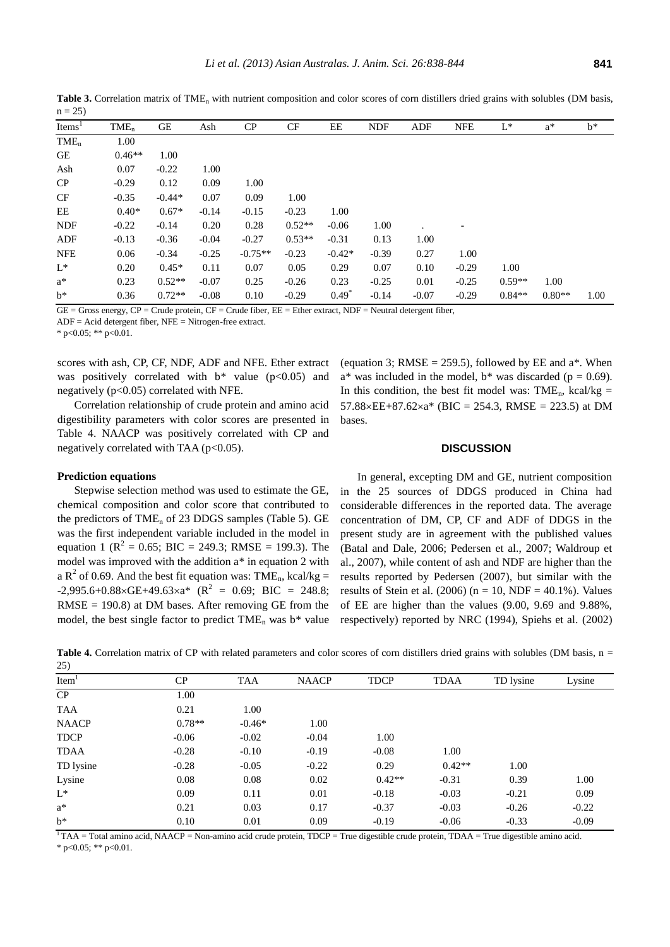| $\overline{\phantom{a}}$ |          |          |         |           |           |          |            |         |                          |          |          |       |
|--------------------------|----------|----------|---------|-----------|-----------|----------|------------|---------|--------------------------|----------|----------|-------|
| Items <sup>1</sup>       | $TME_n$  | GE       | Ash     | CP        | <b>CF</b> | EE       | <b>NDF</b> | ADF     | <b>NFE</b>               | $L^*$    | $a^*$    | $b^*$ |
| $\text{TME}_{n}$         | 1.00     |          |         |           |           |          |            |         |                          |          |          |       |
| GE                       | $0.46**$ | 1.00     |         |           |           |          |            |         |                          |          |          |       |
| Ash                      | 0.07     | $-0.22$  | 1.00    |           |           |          |            |         |                          |          |          |       |
| CP                       | $-0.29$  | 0.12     | 0.09    | 1.00      |           |          |            |         |                          |          |          |       |
| CF                       | $-0.35$  | $-0.44*$ | 0.07    | 0.09      | 1.00      |          |            |         |                          |          |          |       |
| EE                       | $0.40*$  | $0.67*$  | $-0.14$ | $-0.15$   | $-0.23$   | 1.00     |            |         |                          |          |          |       |
| <b>NDF</b>               | $-0.22$  | $-0.14$  | 0.20    | 0.28      | $0.52**$  | $-0.06$  | 1.00       |         | $\overline{\phantom{a}}$ |          |          |       |
| ADF                      | $-0.13$  | $-0.36$  | $-0.04$ | $-0.27$   | $0.53**$  | $-0.31$  | 0.13       | 1.00    |                          |          |          |       |
| <b>NFE</b>               | 0.06     | $-0.34$  | $-0.25$ | $-0.75**$ | $-0.23$   | $-0.42*$ | $-0.39$    | 0.27    | 1.00                     |          |          |       |
| $L^*$                    | 0.20     | $0.45*$  | 0.11    | 0.07      | 0.05      | 0.29     | 0.07       | 0.10    | $-0.29$                  | 1.00     |          |       |
| $a^*$                    | 0.23     | $0.52**$ | $-0.07$ | 0.25      | $-0.26$   | 0.23     | $-0.25$    | 0.01    | $-0.25$                  | $0.59**$ | 1.00     |       |
| $b^*$                    | 0.36     | $0.72**$ | $-0.08$ | 0.10      | $-0.29$   | $0.49*$  | $-0.14$    | $-0.07$ | $-0.29$                  | $0.84**$ | $0.80**$ | 1.00  |

Table 3. Correlation matrix of TME<sub>n</sub> with nutrient composition and color scores of corn distillers dried grains with solubles (DM basis,  $n = 25$ 

 $GE =$  Gross energy,  $CP =$  Crude protein,  $CF =$  Crude fiber,  $EE =$  Ether extract, NDF = Neutral detergent fiber,

ADF = Acid detergent fiber, NFE = Nitrogen-free extract.

\* p<0.05; \*\* p<0.01.

scores with ash, CP, CF, NDF, ADF and NFE. Ether extract was positively correlated with  $b^*$  value ( $p<0.05$ ) and negatively (p<0.05) correlated with NFE.

Correlation relationship of crude protein and amino acid digestibility parameters with color scores are presented in Table 4. NAACP was positively correlated with CP and negatively correlated with TAA ( $p<0.05$ ).

# (equation 3; RMSE = 259.5), followed by EE and  $a^*$ . When  $a^*$  was included in the model,  $b^*$  was discarded (p = 0.69). In this condition, the best fit model was:  $\text{TME}_{n}$ , kcal/kg =  $57.88 \times EE + 87.62 \times a^*$  (BIC = 254.3, RMSE = 223.5) at DM bases.

### **DISCUSSION**

# **Prediction equations**

Stepwise selection method was used to estimate the GE, chemical composition and color score that contributed to the predictors of  $\text{TME}_{n}$  of 23 DDGS samples (Table 5). GE was the first independent variable included in the model in equation 1 ( $R^2 = 0.65$ ; BIC = 249.3; RMSE = 199.3). The model was improved with the addition a\* in equation 2 with a  $R^2$  of 0.69. And the best fit equation was: TME<sub>n</sub>, kcal/kg =  $-2,995.6+0.88 \times \text{GE} + 49.63 \times \text{A}^*$  (R<sup>2</sup> = 0.69; BIC = 248.8; RMSE = 190.8) at DM bases. After removing GE from the model, the best single factor to predict  $\text{TME}_n$  was b\* value

In general, excepting DM and GE, nutrient composition in the 25 sources of DDGS produced in China had considerable differences in the reported data. The average concentration of DM, CP, CF and ADF of DDGS in the present study are in agreement with the published values (Batal and Dale, 2006; Pedersen et al., 2007; Waldroup et al., 2007), while content of ash and NDF are higher than the results reported by Pedersen (2007), but similar with the results of Stein et al. (2006) ( $n = 10$ , NDF = 40.1%). Values of EE are higher than the values (9.00, 9.69 and 9.88%, respectively) reported by NRC (1994), Spiehs et al. (2002)

Table 4. Correlation matrix of CP with related parameters and color scores of corn distillers dried grains with solubles (DM basis, n =  $25$ 

| $\omega$          |          |            |              |             |             |           |         |
|-------------------|----------|------------|--------------|-------------|-------------|-----------|---------|
| Item <sup>1</sup> | CP       | <b>TAA</b> | <b>NAACP</b> | <b>TDCP</b> | <b>TDAA</b> | TD lysine | Lysine  |
| CP                | 1.00     |            |              |             |             |           |         |
| <b>TAA</b>        | 0.21     | 1.00       |              |             |             |           |         |
| <b>NAACP</b>      | $0.78**$ | $-0.46*$   | 1.00         |             |             |           |         |
| <b>TDCP</b>       | $-0.06$  | $-0.02$    | $-0.04$      | 1.00        |             |           |         |
| <b>TDAA</b>       | $-0.28$  | $-0.10$    | $-0.19$      | $-0.08$     | 1.00        |           |         |
| TD lysine         | $-0.28$  | $-0.05$    | $-0.22$      | 0.29        | $0.42**$    | 1.00      |         |
| Lysine            | 0.08     | 0.08       | 0.02         | $0.42**$    | $-0.31$     | 0.39      | 1.00    |
| $L^*$             | 0.09     | 0.11       | 0.01         | $-0.18$     | $-0.03$     | $-0.21$   | 0.09    |
| $a^*$             | 0.21     | 0.03       | 0.17         | $-0.37$     | $-0.03$     | $-0.26$   | $-0.22$ |
| $h^*$             | 0.10     | 0.01       | 0.09         | $-0.19$     | $-0.06$     | $-0.33$   | $-0.09$ |

 $1$ TAA = Total amino acid, NAACP = Non-amino acid crude protein, TDCP = True digestible crude protein, TDAA = True digestible amino acid. \* p<0.05; \*\* p<0.01.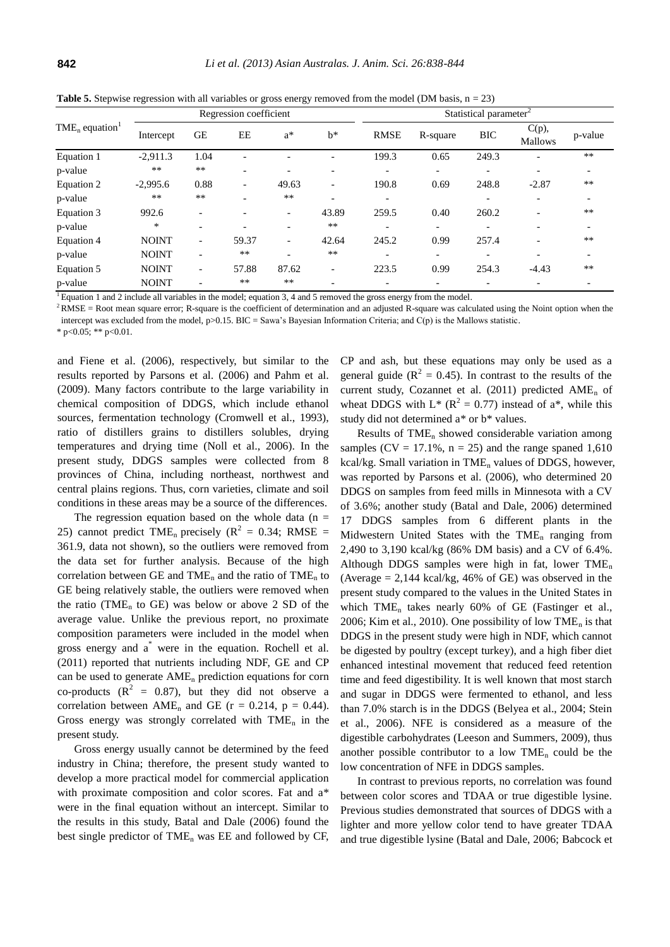| <b>Table 5.</b> Stepwise regression with all variables or gross energy removed from the model (DM basis, $n = 23$ ) |  |  |
|---------------------------------------------------------------------------------------------------------------------|--|--|
|---------------------------------------------------------------------------------------------------------------------|--|--|

| $\text{TME}_{n}$ equation <sup>1</sup> |              | Regression coefficient   |                          |                          |                              |                          | Statistical parameter <sup>2</sup> |                          |                            |                          |  |
|----------------------------------------|--------------|--------------------------|--------------------------|--------------------------|------------------------------|--------------------------|------------------------------------|--------------------------|----------------------------|--------------------------|--|
|                                        | Intercept    | <b>GE</b>                | EE                       | $a^*$                    | $h^*$                        | <b>RMSE</b>              | R-square                           | <b>BIC</b>               | $C(p)$ ,<br><b>Mallows</b> | p-value                  |  |
| Equation 1                             | $-2,911.3$   | 1.04                     | $\overline{a}$           |                          | ۰                            | 199.3                    | 0.65                               | 249.3                    | ۰                          | $**$                     |  |
| p-value                                | $***$        | **                       | $\overline{\phantom{0}}$ |                          |                              | $\overline{\phantom{0}}$ | $\overline{\phantom{0}}$           | $\overline{\phantom{0}}$ |                            | $\overline{\phantom{a}}$ |  |
| Equation 2                             | $-2,995.6$   | 0.88                     | $\overline{\phantom{a}}$ | 49.63                    | $\overline{\phantom{0}}$     | 190.8                    | 0.69                               | 248.8                    | $-2.87$                    | $***$                    |  |
| p-value                                | $**$         | **                       |                          | $**$                     | ۰                            | $\overline{\phantom{a}}$ |                                    | $\overline{\phantom{0}}$ |                            | $\overline{\phantom{a}}$ |  |
| Equation 3                             | 992.6        | $\overline{\phantom{0}}$ | $\overline{\phantom{0}}$ | $\overline{\phantom{a}}$ | 43.89                        | 259.5                    | 0.40                               | 260.2                    |                            | $**$                     |  |
| p-value                                | *            | $\overline{\phantom{a}}$ | $\overline{\phantom{0}}$ | $\overline{\phantom{0}}$ | $***$                        | ۰                        | $\overline{\phantom{0}}$           | ۰                        |                            | $\overline{\phantom{a}}$ |  |
| Equation 4                             | <b>NOINT</b> | $\overline{\phantom{a}}$ | 59.37                    | $\overline{\phantom{a}}$ | 42.64                        | 245.2                    | 0.99                               | 257.4                    |                            | $**$                     |  |
| p-value                                | <b>NOINT</b> | $\overline{\phantom{a}}$ | $***$                    | $\overline{\phantom{0}}$ | $**$                         | $\overline{\phantom{a}}$ | $\overline{\phantom{0}}$           | $\overline{\phantom{a}}$ |                            | $\overline{\phantom{a}}$ |  |
| Equation 5                             | <b>NOINT</b> | $\overline{\phantom{a}}$ | 57.88                    | 87.62                    | $\qquad \qquad \blacksquare$ | 223.5                    | 0.99                               | 254.3                    | $-4.43$                    | $**$                     |  |
| p-value                                | <b>NOINT</b> | ۰                        | $***$                    | $**$                     | $\overline{\phantom{0}}$     | $\overline{\phantom{a}}$ | $\overline{\phantom{0}}$           | $\overline{\phantom{0}}$ |                            | $\overline{\phantom{a}}$ |  |

<sup>1</sup> Equation 1 and 2 include all variables in the model; equation 3, 4 and 5 removed the gross energy from the model.

 $2RMSE = Root$  mean square error; R-square is the coefficient of determination and an adjusted R-square was calculated using the Noint option when the intercept was excluded from the model,  $p > 0.15$ . BIC = Sawa's Bayesian Information Criteria; and C(p) is the Mallows statistic.

\* p<0.05; \*\* p<0.01.

and Fiene et al. (2006), respectively, but similar to the results reported by Parsons et al. (2006) and Pahm et al. (2009). Many factors contribute to the large variability in chemical composition of DDGS, which include ethanol sources, fermentation technology (Cromwell et al., 1993), ratio of distillers grains to distillers solubles, drying temperatures and drying time (Noll et al., 2006). In the present study, DDGS samples were collected from 8 provinces of China, including northeast, northwest and central plains regions. Thus, corn varieties, climate and soil conditions in these areas may be a source of the differences.

The regression equation based on the whole data ( $n =$ 25) cannot predict TME<sub>n</sub> precisely ( $\mathbb{R}^2 = 0.34$ ; RMSE = 361.9, data not shown), so the outliers were removed from the data set for further analysis. Because of the high correlation between GE and  $\text{TME}_n$  and the ratio of  $\text{TME}_n$  to GE being relatively stable, the outliers were removed when the ratio (TME<sub>n</sub> to GE) was below or above 2 SD of the average value. Unlike the previous report, no proximate composition parameters were included in the model when gross energy and a\* were in the equation. Rochell et al. (2011) reported that nutrients including NDF, GE and CP can be used to generate  $AME<sub>n</sub>$  prediction equations for corn co-products  $(R^2 = 0.87)$ , but they did not observe a correlation between  $\text{AME}_{n}$  and GE (r = 0.214, p = 0.44). Gross energy was strongly correlated with  $\text{TME}_n$  in the present study.

Gross energy usually cannot be determined by the feed industry in China; therefore, the present study wanted to develop a more practical model for commercial application with proximate composition and color scores. Fat and a\* were in the final equation without an intercept. Similar to the results in this study, Batal and Dale (2006) found the best single predictor of  $\text{TME}_{n}$  was EE and followed by CF, CP and ash, but these equations may only be used as a general guide ( $R^2 = 0.45$ ). In contrast to the results of the current study, Cozannet et al.  $(2011)$  predicted AME<sub>n</sub> of wheat DDGS with  $L^*$  ( $R^2 = 0.77$ ) instead of a<sup>\*</sup>, while this study did not determined a\* or b\* values.

Results of TME<sub>n</sub> showed considerable variation among samples ( $CV = 17.1\%$ ,  $n = 25$ ) and the range spaned 1,610 kcal/kg. Small variation in  $\text{TME}_{n}$  values of DDGS, however, was reported by Parsons et al. (2006), who determined 20 DDGS on samples from feed mills in Minnesota with a CV of 3.6%; another study (Batal and Dale, 2006) determined 17 DDGS samples from 6 different plants in the Midwestern United States with the  $\text{TME}_n$  ranging from 2,490 to 3,190 kcal/kg (86% DM basis) and a CV of 6.4%. Although DDGS samples were high in fat, lower  $\text{TME}_n$ (Average  $= 2,144$  kcal/kg, 46% of GE) was observed in the present study compared to the values in the United States in which  $\text{TME}_{n}$  takes nearly 60% of GE (Fastinger et al., 2006; Kim et al., 2010). One possibility of low  $\text{TME}_n$  is that DDGS in the present study were high in NDF, which cannot be digested by poultry (except turkey), and a high fiber diet enhanced intestinal movement that reduced feed retention time and feed digestibility. It is well known that most starch and sugar in DDGS were fermented to ethanol, and less than 7.0% starch is in the DDGS (Belyea et al., 2004; Stein et al., 2006). NFE is considered as a measure of the digestible carbohydrates (Leeson and Summers, 2009), thus another possible contributor to a low  $\text{TME}_{n}$  could be the low concentration of NFE in DDGS samples.

In contrast to previous reports, no correlation was found between color scores and TDAA or true digestible lysine. Previous studies demonstrated that sources of DDGS with a lighter and more yellow color tend to have greater TDAA and true digestible lysine (Batal and Dale, 2006; Babcock et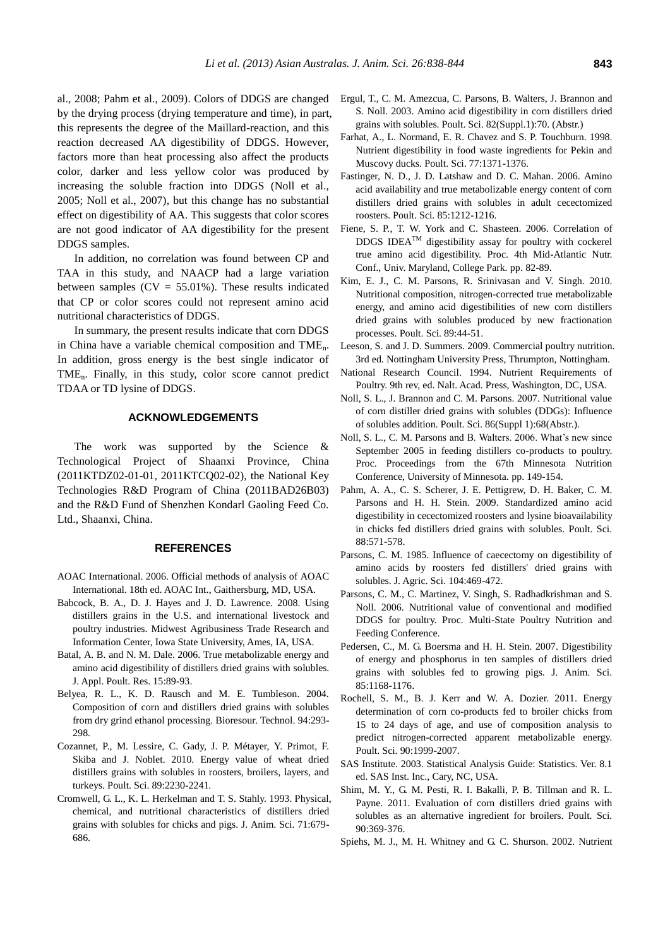al., 2008; Pahm et al., 2009). Colors of DDGS are changed by the drying process (drying temperature and time), in part, this represents the degree of the Maillard-reaction, and this reaction decreased AA digestibility of DDGS. However, factors more than heat processing also affect the products color, darker and less yellow color was produced by increasing the soluble fraction into DDGS (Noll et al., 2005; Noll et al., 2007), but this change has no substantial effect on digestibility of AA. This suggests that color scores are not good indicator of AA digestibility for the present DDGS samples.

In addition, no correlation was found between CP and TAA in this study, and NAACP had a large variation between samples  $(CV = 55.01\%)$ . These results indicated that CP or color scores could not represent amino acid nutritional characteristics of DDGS.

In summary, the present results indicate that corn DDGS in China have a variable chemical composition and TMEn. In addition, gross energy is the best single indicator of TMEn. Finally, in this study, color score cannot predict TDAA or TD lysine of DDGS.

## **ACKNOWLEDGEMENTS**

The work was supported by the Science & Technological Project of Shaanxi Province, China (2011KTDZ02-01-01, 2011KTCQ02-02), the National Key Technologies R&D Program of China (2011BAD26B03) and the R&D Fund of Shenzhen Kondarl Gaoling Feed Co. Ltd., Shaanxi, China.

#### **REFERENCES**

- AOAC International. 2006. Official methods of analysis of AOAC International. 18th ed. AOAC Int., Gaithersburg, MD, USA.
- Babcock, B. A., D. J. Hayes and J. D. Lawrence. 2008. Using distillers grains in the U.S. and international livestock and poultry industries. Midwest Agribusiness Trade Research and Information Center, Iowa State University, Ames, IA, USA.
- Batal, A. B. and N. M. Dale. 2006. True metabolizable energy and amino acid digestibility of distillers dried grains with solubles. J. Appl. Poult. Res. 15:89-93.
- Belyea, R. L., K. D. Rausch and M. E. Tumbleson. 2004. Composition of corn and distillers dried grains with solubles from dry grind ethanol processing. Bioresour. Technol. 94:293- 298.
- Cozannet, P., M. Lessire, C. Gady, J. P. Métayer, Y. Primot, F. Skiba and J. Noblet. 2010. Energy value of wheat dried distillers grains with solubles in roosters, broilers, layers, and turkeys. Poult. Sci. 89:2230-2241.
- Cromwell, G. L., K. L. Herkelman and T. S. Stahly. 1993. Physical, chemical, and nutritional characteristics of distillers dried grains with solubles for chicks and pigs. J. Anim. Sci. 71:679- 686.
- Ergul, T., C. M. Amezcua, C. Parsons, B. Walters, J. Brannon and S. Noll. 2003. Amino acid digestibility in corn distillers dried grains with solubles. Poult. Sci. 82(Suppl.1):70. (Abstr.)
- Farhat, A., L. Normand, E. R. Chavez and S. P. Touchburn. 1998. Nutrient digestibility in food waste ingredients for Pekin and Muscovy ducks. Poult. Sci. 77:1371-1376.
- Fastinger, N. D., J. D. Latshaw and D. C. Mahan. 2006. Amino acid availability and true metabolizable energy content of corn distillers dried grains with solubles in adult cecectomized roosters. Poult. Sci. 85:1212-1216.
- Fiene, S. P., T. W. York and C. Shasteen. 2006. Correlation of DDGS IDEATM digestibility assay for poultry with cockerel true amino acid digestibility. Proc. 4th Mid-Atlantic Nutr. Conf., Univ. Maryland, College Park. pp. 82-89.
- Kim, E. J., C. M. Parsons, R. Srinivasan and V. Singh. 2010. Nutritional composition, nitrogen-corrected true metabolizable energy, and amino acid digestibilities of new corn distillers dried grains with solubles produced by new fractionation processes. Poult. Sci. 89:44-51.
- Leeson, S. and J. D. Summers. 2009. Commercial poultry nutrition. 3rd ed. Nottingham University Press, Thrumpton, Nottingham.
- National Research Council. 1994. Nutrient Requirements of Poultry. 9th rev, ed. Nalt. Acad. Press, Washington, DC, USA.
- Noll, S. L., J. Brannon and C. M. Parsons. 2007. Nutritional value of corn distiller dried grains with solubles (DDGs): Influence of solubles addition. Poult. Sci. 86(Suppl 1):68(Abstr.).
- Noll, S. L., C. M. Parsons and B. Walters. 2006. What's new since September 2005 in feeding distillers co-products to poultry. Proc. Proceedings from the 67th Minnesota Nutrition Conference, University of Minnesota. pp. 149-154.
- Pahm, A. A., C. S. Scherer, J. E. Pettigrew, D. H. Baker, C. M. Parsons and H. H. Stein. 2009. Standardized amino acid digestibility in cecectomized roosters and lysine bioavailability in chicks fed distillers dried grains with solubles. Poult. Sci. 88:571-578.
- Parsons, C. M. 1985. Influence of caecectomy on digestibility of amino acids by roosters fed distillers' dried grains with solubles. J. Agric. Sci. 104:469-472.
- Parsons, C. M., C. Martinez, V. Singh, S. Radhadkrishman and S. Noll. 2006. Nutritional value of conventional and modified DDGS for poultry. Proc. Multi-State Poultry Nutrition and Feeding Conference.
- Pedersen, C., M. G. Boersma and H. H. Stein. 2007. Digestibility of energy and phosphorus in ten samples of distillers dried grains with solubles fed to growing pigs. J. Anim. Sci. 85:1168-1176.
- Rochell, S. M., B. J. Kerr and W. A. Dozier. 2011. Energy determination of corn co-products fed to broiler chicks from 15 to 24 days of age, and use of composition analysis to predict nitrogen-corrected apparent metabolizable energy. Poult. Sci. 90:1999-2007.
- SAS Institute. 2003. Statistical Analysis Guide: Statistics. Ver. 8.1 ed. SAS Inst. Inc., Cary, NC, USA.
- Shim, M. Y., G. M. Pesti, R. I. Bakalli, P. B. Tillman and R. L. Payne. 2011. Evaluation of corn distillers dried grains with solubles as an alternative ingredient for broilers. Poult. Sci. 90:369-376.
- Spiehs, M. J., M. H. Whitney and G. C. Shurson. 2002. Nutrient